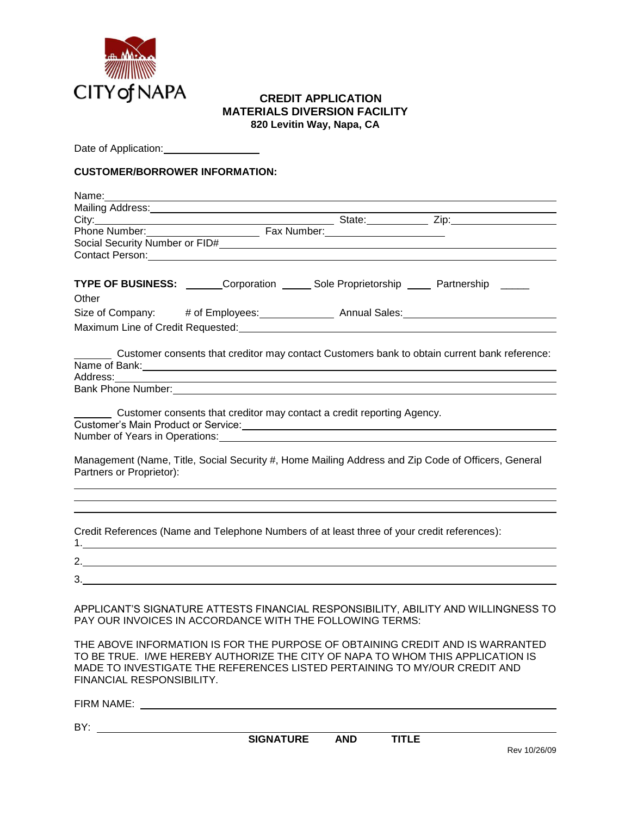

### **CREDIT APPLICATION MATERIALS DIVERSION FACILITY 820 Levitin Way, Napa, CA**

Date of Application: \_\_\_\_\_\_\_\_\_\_\_\_\_\_\_

### **CUSTOMER/BORROWER INFORMATION:**

| Mailing Address: Mailing Address: Mailing Address: Mailing Address: Mail 2014                                                                                                                                                                                                                                          |  |  |
|------------------------------------------------------------------------------------------------------------------------------------------------------------------------------------------------------------------------------------------------------------------------------------------------------------------------|--|--|
|                                                                                                                                                                                                                                                                                                                        |  |  |
| Phone Number: Fax Number:                                                                                                                                                                                                                                                                                              |  |  |
|                                                                                                                                                                                                                                                                                                                        |  |  |
| Contact Person: 2008 Contact Person: 2008 Contact Person: 2008 Contact Person: 2008 Contact Person:                                                                                                                                                                                                                    |  |  |
| TYPE OF BUSINESS: _______Corporation ______ Sole Proprietorship _____ Partnership _____                                                                                                                                                                                                                                |  |  |
| Other                                                                                                                                                                                                                                                                                                                  |  |  |
|                                                                                                                                                                                                                                                                                                                        |  |  |
|                                                                                                                                                                                                                                                                                                                        |  |  |
| Customer consents that creditor may contact Customers bank to obtain current bank reference:                                                                                                                                                                                                                           |  |  |
| Address: Address: Address: Address: Address: Address: Address: Address: Address: Address: Address: Address: Address: Address: Address: Address: Address: Address: Address: Address: Address: Address: Address: Address: Addres                                                                                         |  |  |
|                                                                                                                                                                                                                                                                                                                        |  |  |
|                                                                                                                                                                                                                                                                                                                        |  |  |
| Customer consents that creditor may contact a credit reporting Agency.                                                                                                                                                                                                                                                 |  |  |
| Customer's Main Product or Service:<br>Customer's Main Product or Service:                                                                                                                                                                                                                                             |  |  |
| Number of Years in Operations: Number of Search Control of Texas and Control of Texas and Control of Texas and                                                                                                                                                                                                         |  |  |
| Management (Name, Title, Social Security #, Home Mailing Address and Zip Code of Officers, General<br>Partners or Proprietor):                                                                                                                                                                                         |  |  |
|                                                                                                                                                                                                                                                                                                                        |  |  |
| Credit References (Name and Telephone Numbers of at least three of your credit references):                                                                                                                                                                                                                            |  |  |
| 2. $\frac{1}{2}$ $\frac{1}{2}$ $\frac{1}{2}$ $\frac{1}{2}$ $\frac{1}{2}$ $\frac{1}{2}$ $\frac{1}{2}$ $\frac{1}{2}$ $\frac{1}{2}$ $\frac{1}{2}$ $\frac{1}{2}$ $\frac{1}{2}$ $\frac{1}{2}$ $\frac{1}{2}$ $\frac{1}{2}$ $\frac{1}{2}$ $\frac{1}{2}$ $\frac{1}{2}$ $\frac{1}{2}$ $\frac{1}{2}$ $\frac{1}{2}$ $\frac{1}{2}$ |  |  |
| 3.                                                                                                                                                                                                                                                                                                                     |  |  |
| APPLICANT'S SIGNATURE ATTESTS FINANCIAL RESPONSIBILITY, ABILITY AND WILLINGNESS TO<br>PAY OUR INVOICES IN ACCORDANCE WITH THE FOLLOWING TERMS:                                                                                                                                                                         |  |  |

THE ABOVE INFORMATION IS FOR THE PURPOSE OF OBTAINING CREDIT AND IS WARRANTED TO BE TRUE. I/WE HEREBY AUTHORIZE THE CITY OF NAPA TO WHOM THIS APPLICATION IS MADE TO INVESTIGATE THE REFERENCES LISTED PERTAINING TO MY/OUR CREDIT AND FINANCIAL RESPONSIBILITY.

FIRM NAME:

BY: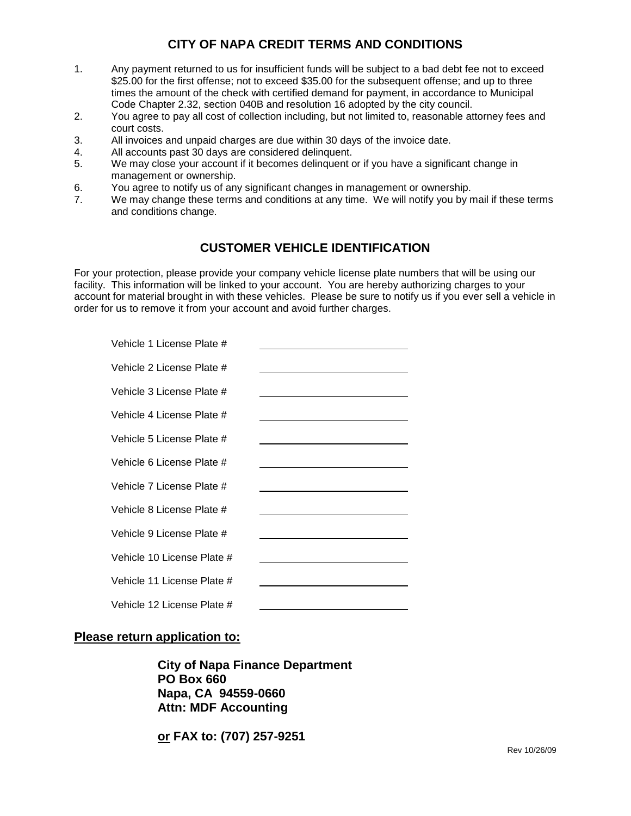# **CITY OF NAPA CREDIT TERMS AND CONDITIONS**

- 1. Any payment returned to us for insufficient funds will be subject to a bad debt fee not to exceed \$25.00 for the first offense; not to exceed \$35.00 for the subsequent offense; and up to three times the amount of the check with certified demand for payment, in accordance to Municipal Code Chapter 2.32, section 040B and resolution 16 adopted by the city council.
- 2. You agree to pay all cost of collection including, but not limited to, reasonable attorney fees and court costs.
- 3. All invoices and unpaid charges are due within 30 days of the invoice date.
- 4. All accounts past 30 days are considered delinquent.
- 5. We may close your account if it becomes delinquent or if you have a significant change in management or ownership.
- 6. You agree to notify us of any significant changes in management or ownership.
- 7. We may change these terms and conditions at any time. We will notify you by mail if these terms and conditions change.

## **CUSTOMER VEHICLE IDENTIFICATION**

For your protection, please provide your company vehicle license plate numbers that will be using our facility. This information will be linked to your account. You are hereby authorizing charges to your account for material brought in with these vehicles. Please be sure to notify us if you ever sell a vehicle in order for us to remove it from your account and avoid further charges.

| Vehicle 1 License Plate #  |  |
|----------------------------|--|
| Vehicle 2 License Plate #  |  |
| Vehicle 3 License Plate #  |  |
| Vehicle 4 License Plate #  |  |
| Vehicle 5 License Plate #  |  |
| Vehicle 6 License Plate #  |  |
| Vehicle 7 License Plate #  |  |
| Vehicle 8 License Plate #  |  |
| Vehicle 9 License Plate #  |  |
| Vehicle 10 License Plate # |  |
| Vehicle 11 License Plate # |  |
| Vehicle 12 License Plate # |  |

### **Please return application to:**

**City of Napa Finance Department PO Box 660 Napa, CA 94559-0660 Attn: MDF Accounting**

**or FAX to: (707) 257-9251**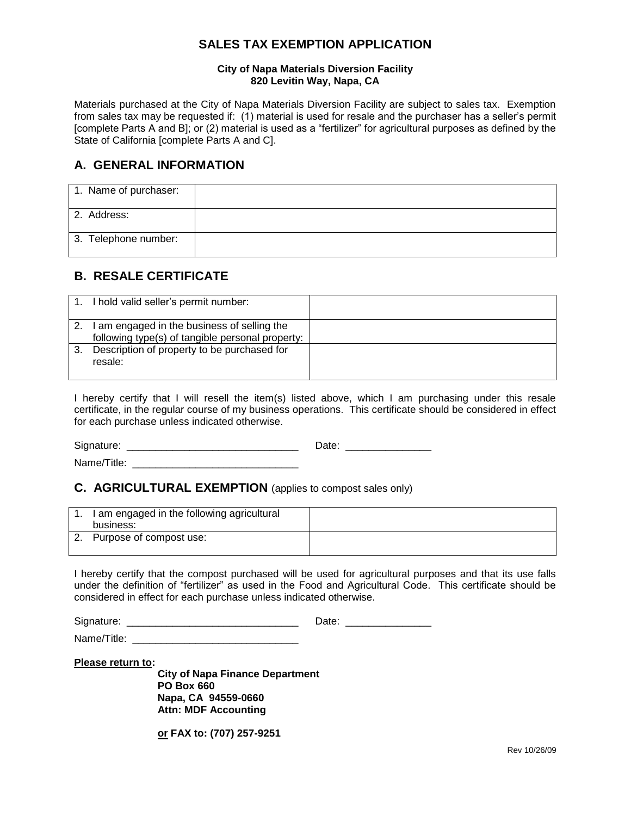## **SALES TAX EXEMPTION APPLICATION**

#### **City of Napa Materials Diversion Facility 820 Levitin Way, Napa, CA**

Materials purchased at the City of Napa Materials Diversion Facility are subject to sales tax. Exemption from sales tax may be requested if: (1) material is used for resale and the purchaser has a seller's permit [complete Parts A and B]; or (2) material is used as a "fertilizer" for agricultural purposes as defined by the State of California [complete Parts A and C].

## **A. GENERAL INFORMATION**

| 1. Name of purchaser: |  |
|-----------------------|--|
| 2. Address:           |  |
| 3. Telephone number:  |  |

# **B. RESALE CERTIFICATE**

|         | 1. I hold valid seller's permit number:          |  |
|---------|--------------------------------------------------|--|
| $2^{2}$ | I am engaged in the business of selling the      |  |
|         | following type(s) of tangible personal property: |  |
|         | Description of property to be purchased for      |  |
|         | resale:                                          |  |
|         |                                                  |  |

I hereby certify that I will resell the item(s) listed above, which I am purchasing under this resale certificate, in the regular course of my business operations. This certificate should be considered in effect for each purchase unless indicated otherwise.

Signature: \_\_\_\_\_\_\_\_\_\_\_\_\_\_\_\_\_\_\_\_\_\_\_\_\_\_\_\_\_\_ Date: \_\_\_\_\_\_\_\_\_\_\_\_\_\_\_

Name/Title:

### **C. AGRICULTURAL EXEMPTION** (applies to compost sales only)

| 1. I am engaged in the following agricultural<br>business: |  |
|------------------------------------------------------------|--|
| Purpose of compost use:                                    |  |

I hereby certify that the compost purchased will be used for agricultural purposes and that its use falls under the definition of "fertilizer" as used in the Food and Agricultural Code. This certificate should be considered in effect for each purchase unless indicated otherwise.

Signature: \_\_\_\_\_\_\_\_\_\_\_\_\_\_\_\_\_\_\_\_\_\_\_\_\_\_\_\_\_\_ Date: \_\_\_\_\_\_\_\_\_\_\_\_\_\_\_

Name/Title:

**Please return to:** 

**City of Napa Finance Department PO Box 660 Napa, CA 94559-0660 Attn: MDF Accounting**

**or FAX to: (707) 257-9251**